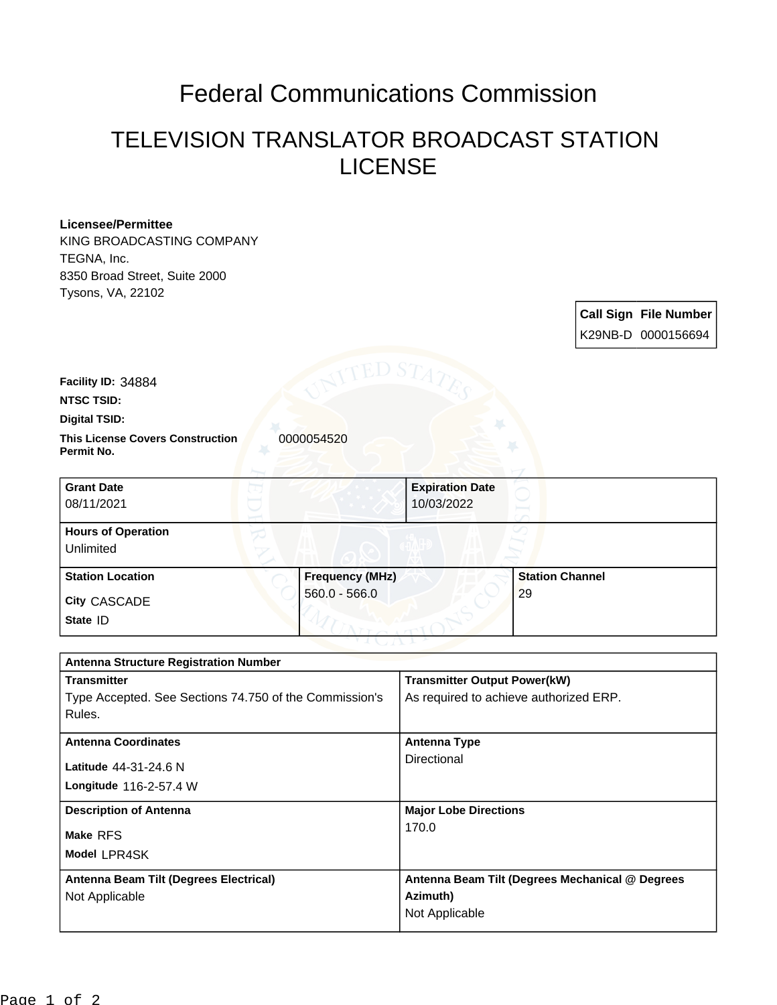## Federal Communications Commission

## TELEVISION TRANSLATOR BROADCAST STATION LICENSE

| <b>Licensee/Permittee</b><br>KING BROADCASTING COMPANY              |                        |                                                 |                        |  |                              |
|---------------------------------------------------------------------|------------------------|-------------------------------------------------|------------------------|--|------------------------------|
| TEGNA, Inc.                                                         |                        |                                                 |                        |  |                              |
| 8350 Broad Street, Suite 2000                                       |                        |                                                 |                        |  |                              |
| Tysons, VA, 22102                                                   |                        |                                                 |                        |  |                              |
|                                                                     |                        |                                                 |                        |  | <b>Call Sign File Number</b> |
|                                                                     |                        |                                                 |                        |  | K29NB-D 0000156694           |
|                                                                     |                        |                                                 |                        |  |                              |
| Facility ID: 34884                                                  |                        |                                                 |                        |  |                              |
| <b>NTSC TSID:</b>                                                   |                        |                                                 |                        |  |                              |
| <b>Digital TSID:</b>                                                |                        |                                                 |                        |  |                              |
| <b>This License Covers Construction</b><br>0000054520<br>Permit No. |                        |                                                 |                        |  |                              |
| <b>Grant Date</b>                                                   |                        | <b>Expiration Date</b>                          |                        |  |                              |
| 08/11/2021                                                          |                        | 10/03/2022                                      |                        |  |                              |
| <b>Hours of Operation</b>                                           |                        |                                                 |                        |  |                              |
| Unlimited                                                           |                        |                                                 |                        |  |                              |
| <b>Station Location</b>                                             | <b>Frequency (MHz)</b> |                                                 | <b>Station Channel</b> |  |                              |
| City CASCADE                                                        | $560.0 - 566.0$        |                                                 | 29                     |  |                              |
| State ID                                                            |                        |                                                 |                        |  |                              |
|                                                                     |                        |                                                 |                        |  |                              |
| <b>Antenna Structure Registration Number</b>                        |                        |                                                 |                        |  |                              |
| <b>Transmitter</b>                                                  |                        | <b>Transmitter Output Power(kW)</b>             |                        |  |                              |
| Type Accepted. See Sections 74.750 of the Commission's              |                        | As required to achieve authorized ERP.          |                        |  |                              |
| Rules.                                                              |                        |                                                 |                        |  |                              |
| <b>Antenna Coordinates</b>                                          |                        | <b>Antenna Type</b>                             |                        |  |                              |
| Latitude 44-31-24.6 N                                               |                        | Directional                                     |                        |  |                              |
| Longitude 116-2-57.4 W                                              |                        |                                                 |                        |  |                              |
|                                                                     |                        |                                                 |                        |  |                              |
| <b>Description of Antenna</b>                                       |                        | <b>Major Lobe Directions</b><br>170.0           |                        |  |                              |
| Make RFS                                                            |                        |                                                 |                        |  |                              |
| Model LPR4SK                                                        |                        |                                                 |                        |  |                              |
| Antenna Beam Tilt (Degrees Electrical)                              |                        | Antenna Beam Tilt (Degrees Mechanical @ Degrees |                        |  |                              |
| Not Applicable                                                      |                        | Azimuth)                                        |                        |  |                              |

Not Applicable